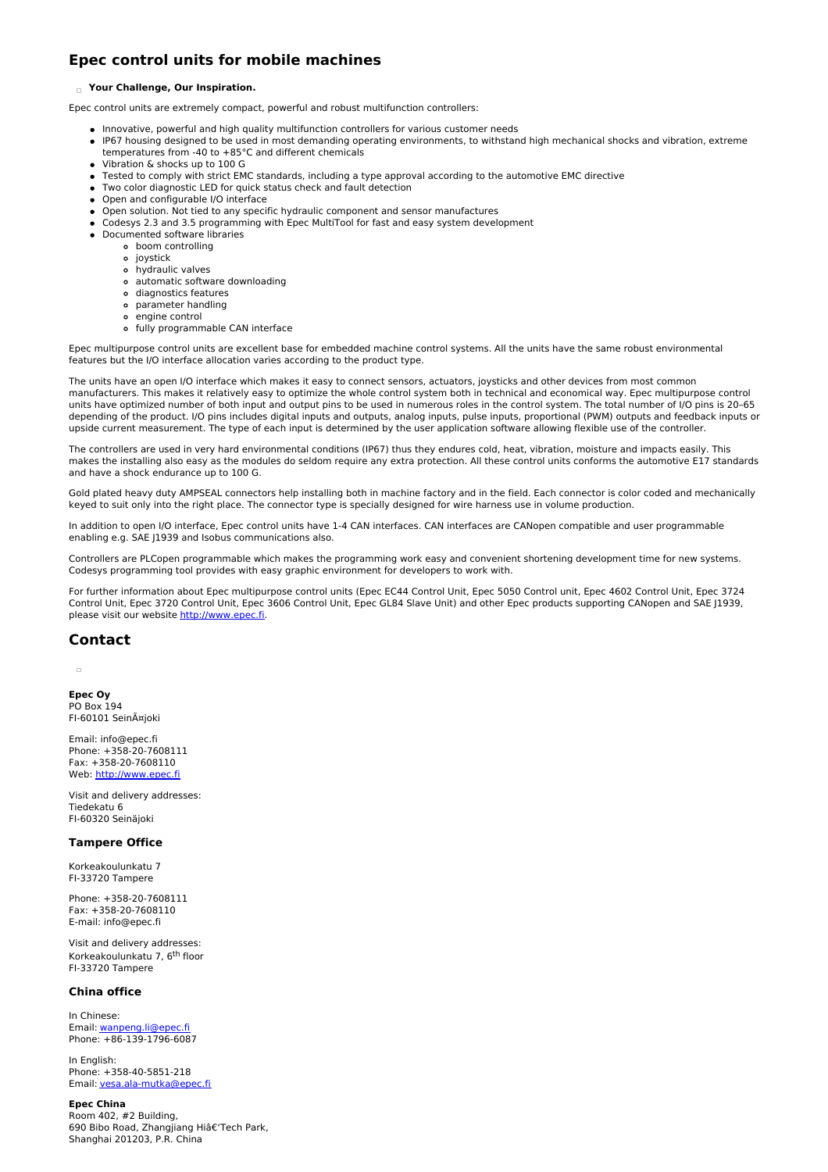# **Epec control units for mobile machines**

#### **Your Challenge, Our Inspiration.**

Epec control units are extremely compact, powerful and robust multifunction controllers:

- Innovative, powerful and high quality multifunction controllers for various customer needs
- IP67 housing designed to be used in most demanding operating environments, to withstand high mechanical shocks and vibration, extreme temperatures from -40 to +85°C and different chemicals
- Vibration & shocks up to 100 G
- Tested to comply with strict EMC standards, including a type approval according to the automotive EMC directive
- Two color diagnostic LED for quick status check and fault detection
- Open and configurable I/O interface
- Open solution. Not tied to any specific hydraulic component and sensor manufactures
- Codesys 2.3 and 3.5 programming with Epec MultiTool for fast and easy system development
- Documented software libraries
	- boom controlling
	- o joystick
	- hydraulic valves
	- automatic software downloading
	- diagnostics features parameter handling
	- engine control
	- fully programmable CAN interface

Epec multipurpose control units are excellent base for embedded machine control systems. All the units have the same robust environmental features but the I/O interface allocation varies according to the product type.

The units have an open I/O interface which makes it easy to connect sensors, actuators, joysticks and other devices from most common manufacturers. This makes it relatively easy to optimize the whole control system both in technical and economical way. Epec multipurpose control units have optimized number of both input and output pins to be used in numerous roles in the control system. The total number of I/O pins is 20–65 depending of the product. I/O pins includes digital inputs and outputs, analog inputs, pulse inputs, proportional (PWM) outputs and feedback inputs or upside current measurement. The type of each input is determined by the user application software allowing flexible use of the controller.

The controllers are used in very hard environmental conditions (IP67) thus they endures cold, heat, vibration, moisture and impacts easily. This makes the installing also easy as the modules do seldom require any extra protection. All these control units conforms the automotive E17 standards and have a shock endurance up to 100 G.

Gold plated heavy duty AMPSEAL connectors help installing both in machine factory and in the field. Each connector is color coded and mechanically keyed to suit only into the right place. The connector type is specially designed for wire harness use in volume production.

In addition to open I/O interface, Epec control units have 1-4 CAN interfaces. CAN interfaces are CANopen compatible and user programmable enabling e.g. SAE J1939 and Isobus communications also.

Controllers are PLCopen programmable which makes the programming work easy and convenient shortening development time for new systems. Codesys programming tool provides with easy graphic environment for developers to work with.

For further information about Epec multipurpose control units (Epec EC44 Control Unit, Epec 5050 Control unit, Epec 4602 Control Unit, Epec 3724 Control Unit, Epec 3720 Control Unit, Epec 3606 Control Unit, Epec GL84 Slave Unit) and other Epec products supporting CANopen and SAE J1939, please visit our website <http://www.epec.fi>.

## **Contact**

**Epec Oy** PO Box 194 FI-60101 Seinäjoki

Email: info@epec.fi Phone: +358-20-7608111 Fax: +358-20-7608110 Web: <http://www.epec.fi>

Visit and delivery addresses: Tiedekatu 6 FI-60320 Seinäjoki

## **Tampere Office**

Korkeakoulunkatu 7 FI-33720 Tampere

Phone: +358-20-7608111 Fax: +358-20-7608110 E-mail: info@epec.fi

Visit and delivery addresses: Korkeakoulunkatu 7, 6<sup>th</sup> floor FI-33720 Tampere

## **China office**

In Chinese: Email: [wanpeng.li@epec.fi](mailto:wanpeng.li@epec.fi) Phone: +86-139-1796-6087

In English: Phone: +358-40-5851-218 Email: [vesa.ala-mutka@epec.fi](mailto:vesa.ala-mutka@epec.fi)

## **Epec China**

Room 402, #2 Building, 690 Bibo Road, Zhangjiang Hiâ€'Tech Park, Shanghai 201203, P.R. China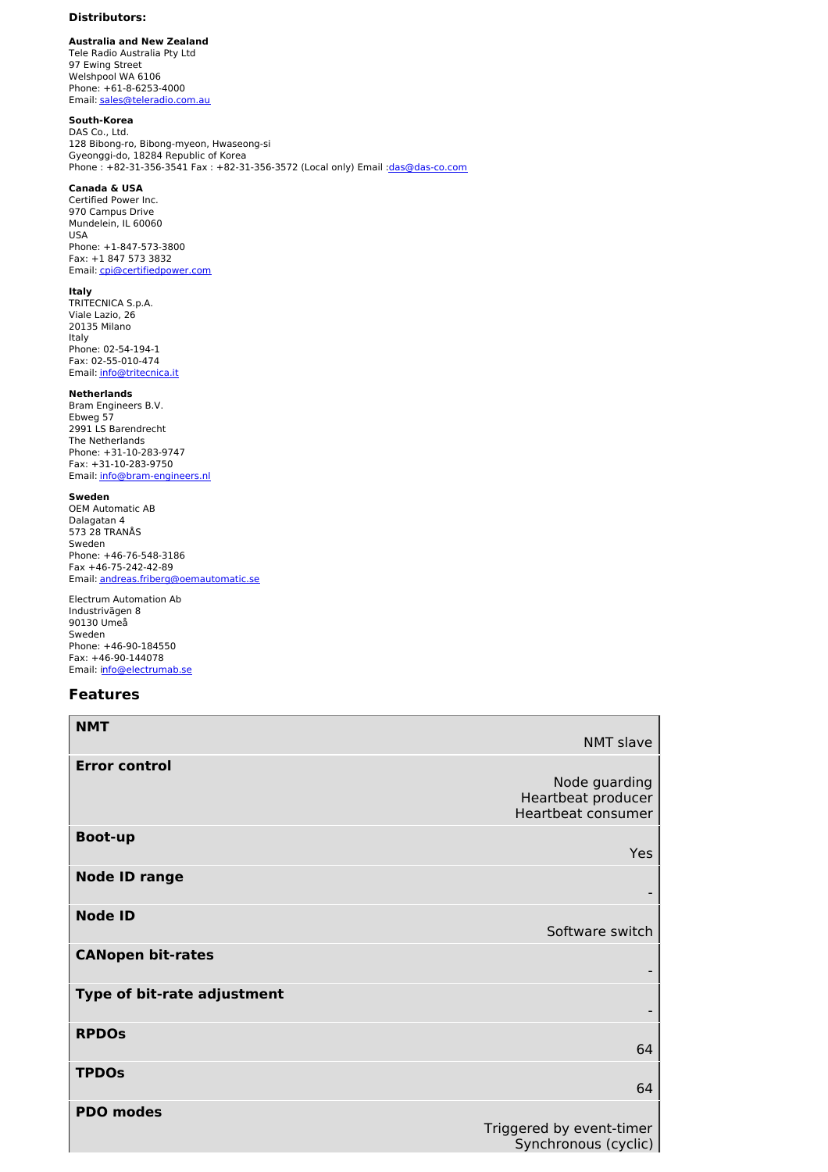## **Distributors:**

**Australia and New Zealand** Tele Radio Australia Pty Ltd 97 Ewing Street Welshpool WA 6106 Phone: +61-8-6253-4000 Email: [sales@teleradio.com.au](mailto:sales@teleradio.com.au)

## **South-Korea**

DAS Co., Ltd. 128 Bibong-ro, Bibong-myeon, Hwaseong-si Gyeonggi-do, 18284 Republic of Korea Phone : +82-31-356-3541 Fax : +82-31-356-3572 (Local only) Email : das@das-co.com

## **Canada & USA**

Certified Power Inc. 970 Campus Drive Mundelein, IL 60060 USA Phone: +1-847-573-3800 Fax: +1 847 573 3832 Email: [cpi@certifiedpower.com](mailto:cpi@certifiedpower.com)

#### **Italy**

TRITECNICA S.p.A. Viale Lazio, 26 20135 Milano Italy Phone: 02-54-194-1 Fax: 02-55-010-474 Email: [info@tritecnica.it](mailto:info@tritecnica.it)

### **Netherlands**

Bram Engineers B.V. Ebweg 57 2991 LS Barendrecht The Netherlands Phone: +31-10-283-9747 Fax: +31-10-283-9750 Email: [info@bram-engineers.nl](mailto:info@bram-engineers.nl)

### **Sweden**

OEM Automatic AB Dalagatan 4 573 28 TRANÅS Sweden Phone: +46-76-548-3186 Fax +46-75-242-42-89 Email: [andreas.friberg@oemautomatic.se](mailto:andreas.friberg@oemautomatic.se)

Electrum Automation Ab Industrivägen 8 90130 Umeå Sweden Phone: +46-90-184550 Fax: +46-90-144078 Email: i[nfo@electrumab.se](mailto:nfo@electrumab.se)

## **Features**

| <b>NMT</b>                  | NMT slave                                                 |
|-----------------------------|-----------------------------------------------------------|
|                             |                                                           |
| <b>Error control</b>        | Node guarding<br>Heartbeat producer<br>Heartbeat consumer |
| <b>Boot-up</b>              | Yes                                                       |
| <b>Node ID range</b>        |                                                           |
| <b>Node ID</b>              | Software switch                                           |
| <b>CANopen bit-rates</b>    |                                                           |
| Type of bit-rate adjustment |                                                           |
| <b>RPDOs</b>                | 64                                                        |
| <b>TPDOs</b>                | 64                                                        |
| <b>PDO modes</b>            | Triggered by event-timer<br>Synchronous (cyclic)          |